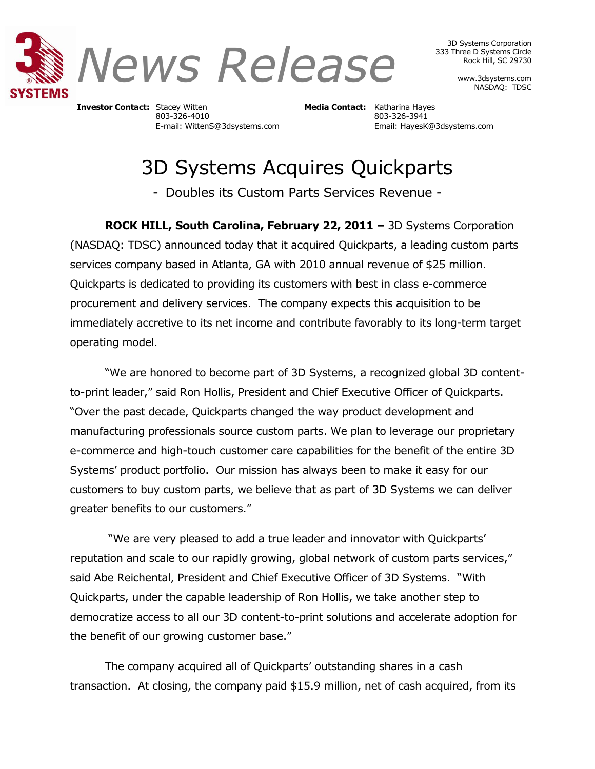

3D Systems Corporation 333 Three D Systems Circle Rock Hill, SC 29730

> www.3dsystems.com NASDAQ: TDSC

**Investor Contact:** Stacey Witten **Media Contact:** Katharina Hayes 803-326-4010 803-326-3941

E-mail: WittenS@3dsystems.com Email: HayesK@3dsystems.com

# 3D Systems Acquires Quickparts

- Doubles its Custom Parts Services Revenue -

**ROCK HILL, South Carolina, February 22, 2011 –** 3D Systems Corporation (NASDAQ: TDSC) announced today that it acquired Quickparts, a leading custom parts services company based in Atlanta, GA with 2010 annual revenue of \$25 million. Quickparts is dedicated to providing its customers with best in class e-commerce procurement and delivery services. The company expects this acquisition to be immediately accretive to its net income and contribute favorably to its long-term target operating model.

"We are honored to become part of 3D Systems, a recognized global 3D contentto-print leader," said Ron Hollis, President and Chief Executive Officer of Quickparts. "Over the past decade, Quickparts changed the way product development and manufacturing professionals source custom parts. We plan to leverage our proprietary e-commerce and high-touch customer care capabilities for the benefit of the entire 3D Systems' product portfolio. Our mission has always been to make it easy for our customers to buy custom parts, we believe that as part of 3D Systems we can deliver greater benefits to our customers."

"We are very pleased to add a true leader and innovator with Quickparts' reputation and scale to our rapidly growing, global network of custom parts services," said Abe Reichental, President and Chief Executive Officer of 3D Systems. "With Quickparts, under the capable leadership of Ron Hollis, we take another step to democratize access to all our 3D content-to-print solutions and accelerate adoption for the benefit of our growing customer base."

The company acquired all of Quickparts' outstanding shares in a cash transaction. At closing, the company paid \$15.9 million, net of cash acquired, from its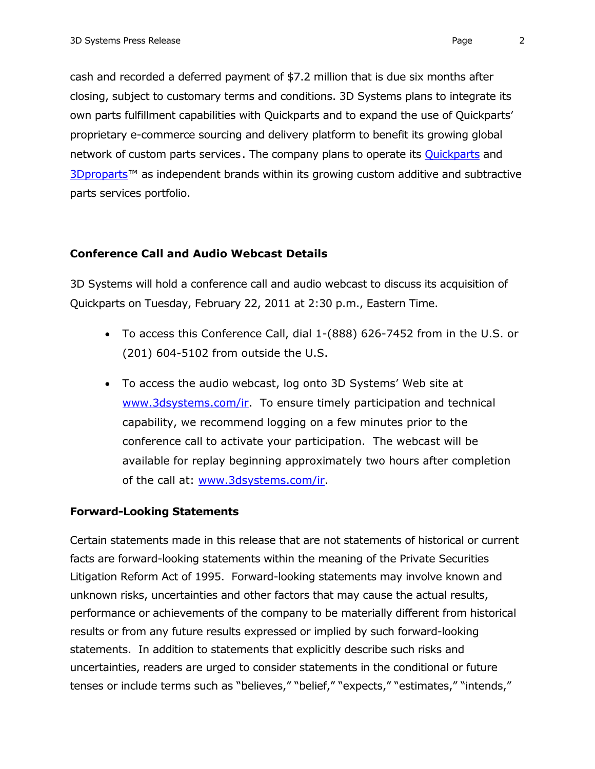cash and recorded a deferred payment of \$7.2 million that is due six months after closing, subject to customary terms and conditions. 3D Systems plans to integrate its own parts fulfillment capabilities with Quickparts and to expand the use of Quickparts' proprietary e-commerce sourcing and delivery platform to benefit its growing global network of custom parts services. The company plans to operate its **Quickparts** and [3Dproparts](http://www.3dproparts.com/)<sup>™</sup> as independent brands within its growing custom additive and subtractive parts services portfolio.

### **Conference Call and Audio Webcast Details**

3D Systems will hold a conference call and audio webcast to discuss its acquisition of Quickparts on Tuesday, February 22, 2011 at 2:30 p.m., Eastern Time.

- To access this Conference Call, dial 1-(888) 626-7452 from in the U.S. or (201) 604-5102 from outside the U.S.
- To access the audio webcast, log onto 3D Systems' Web site at [www.3dsystems.com/ir.](http://www.3dsystems.com/ir) To ensure timely participation and technical capability, we recommend logging on a few minutes prior to the conference call to activate your participation. The webcast will be available for replay beginning approximately two hours after completion of the call at: [www.3dsystems.com/ir.](http://www.3dsystems.com/ir)

# **Forward-Looking Statements**

Certain statements made in this release that are not statements of historical or current facts are forward-looking statements within the meaning of the Private Securities Litigation Reform Act of 1995. Forward-looking statements may involve known and unknown risks, uncertainties and other factors that may cause the actual results, performance or achievements of the company to be materially different from historical results or from any future results expressed or implied by such forward-looking statements. In addition to statements that explicitly describe such risks and uncertainties, readers are urged to consider statements in the conditional or future tenses or include terms such as "believes," "belief," "expects," "estimates," "intends,"